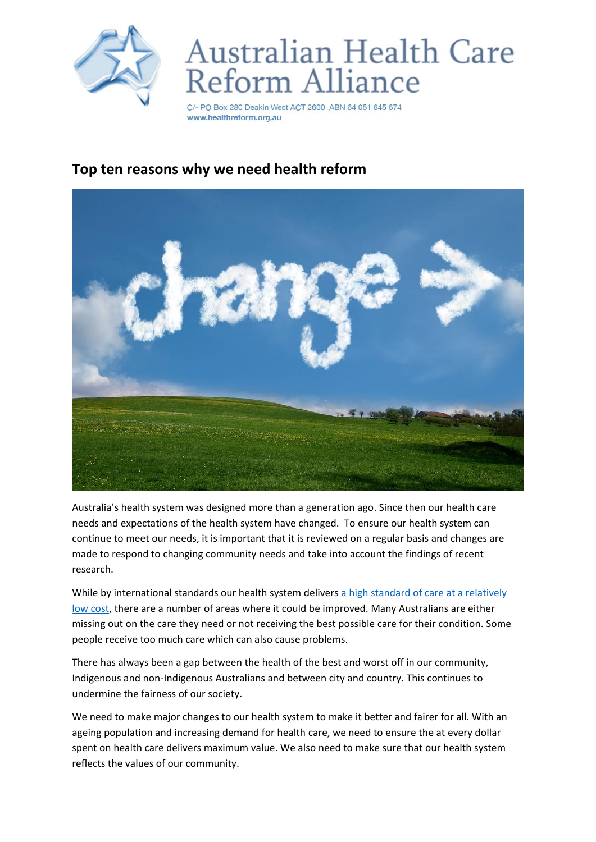

## Australian Health Care Reform Alliance

C/- PO Box 280 Deakin West ACT 2600 ABN 64 051 645 674 www.healthreform.org.au

## **Top ten reasons why we need health reform**



Australia's health system was designed more than a generation ago. Since then our health care needs and expectations of the health system have changed. To ensure our health system can continue to meet our needs, it is important that it is reviewed on a regular basis and changes are made to respond to changing community needs and take into account the findings of recent research.

While by international standards our health system delivers a high standard of care at a relatively [low cost,](https://www.aihw.gov.au/reports-statistics/health-welfare-overview/health-welfare-expenditure/overview) there are a number of areas where it could be improved. Many Australians are either missing out on the care they need or not receiving the best possible care for their condition. Some people receive too much care which can also cause problems.

There has always been a gap between the health of the best and worst off in our community, Indigenous and non-Indigenous Australians and between city and country. This continues to undermine the fairness of our society.

We need to make major changes to our health system to make it better and fairer for all. With an ageing population and increasing demand for health care, we need to ensure the at every dollar spent on health care delivers maximum value. We also need to make sure that our health system reflects the values of our community.